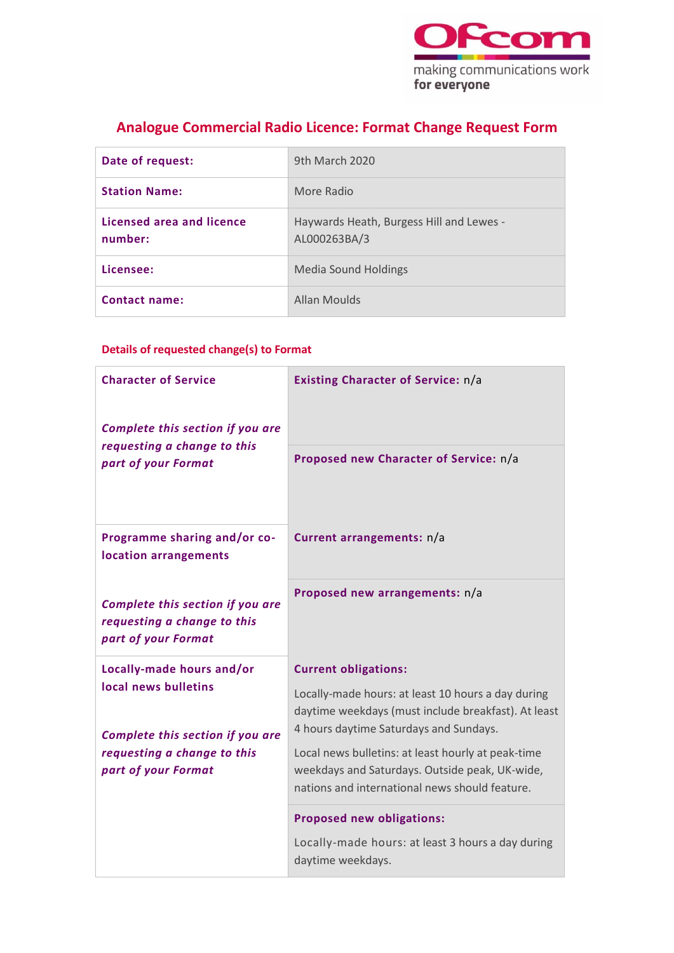

# **Analogue Commercial Radio Licence: Format Change Request Form**

| Date of request:                     | 9th March 2020                                           |
|--------------------------------------|----------------------------------------------------------|
| <b>Station Name:</b>                 | More Radio                                               |
| Licensed area and licence<br>number: | Haywards Heath, Burgess Hill and Lewes -<br>AL000263BA/3 |
| Licensee:                            | Media Sound Holdings                                     |
| Contact name:                        | <b>Allan Moulds</b>                                      |

### **Details of requested change(s) to Format**

| <b>Character of Service</b><br>Complete this section if you are<br>requesting a change to this<br>part of your Format | Existing Character of Service: n/a                                                                                                                  |
|-----------------------------------------------------------------------------------------------------------------------|-----------------------------------------------------------------------------------------------------------------------------------------------------|
|                                                                                                                       | Proposed new Character of Service: n/a                                                                                                              |
| Programme sharing and/or co-<br>location arrangements                                                                 | Current arrangements: n/a                                                                                                                           |
| Complete this section if you are<br>requesting a change to this<br>part of your Format                                | Proposed new arrangements: n/a                                                                                                                      |
| Locally-made hours and/or                                                                                             | <b>Current obligations:</b>                                                                                                                         |
| local news bulletins<br>Complete this section if you are<br>requesting a change to this                               | Locally-made hours: at least 10 hours a day during<br>daytime weekdays (must include breakfast). At least<br>4 hours daytime Saturdays and Sundays. |
|                                                                                                                       | Local news bulletins: at least hourly at peak-time                                                                                                  |
| part of your Format                                                                                                   | weekdays and Saturdays. Outside peak, UK-wide,<br>nations and international news should feature.                                                    |
|                                                                                                                       | <b>Proposed new obligations:</b>                                                                                                                    |
|                                                                                                                       | Locally-made hours: at least 3 hours a day during<br>daytime weekdays.                                                                              |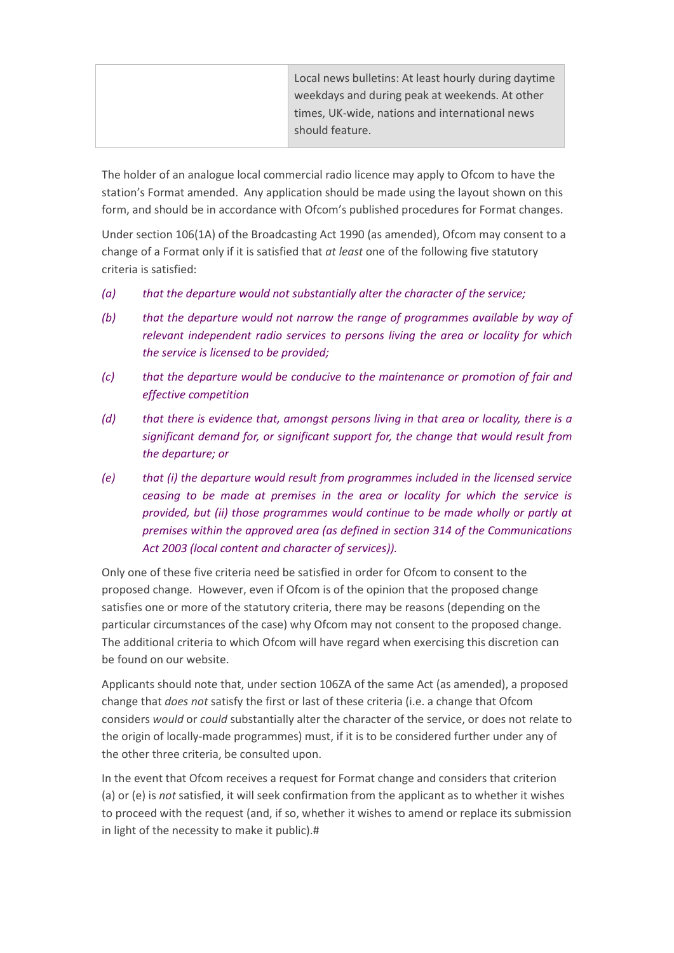|  | Local news bulletins: At least hourly during daytime |
|--|------------------------------------------------------|
|  | weekdays and during peak at weekends. At other       |
|  | times, UK-wide, nations and international news       |
|  | should feature.                                      |
|  |                                                      |

The holder of an analogue local commercial radio licence may apply to Ofcom to have the station's Format amended. Any application should be made using the layout shown on this form, and should be in accordance with Ofcom's published procedures for Format changes.

Under section 106(1A) of the Broadcasting Act 1990 (as amended), Ofcom may consent to a change of a Format only if it is satisfied that *at least* one of the following five statutory criteria is satisfied:

- *(a) that the departure would not substantially alter the character of the service;*
- *(b) that the departure would not narrow the range of programmes available by way of relevant independent radio services to persons living the area or locality for which the service is licensed to be provided;*
- *(c) that the departure would be conducive to the maintenance or promotion of fair and effective competition*
- *(d) that there is evidence that, amongst persons living in that area or locality, there is a significant demand for, or significant support for, the change that would result from the departure; or*
- *(e) that (i) the departure would result from programmes included in the licensed service ceasing to be made at premises in the area or locality for which the service is provided, but (ii) those programmes would continue to be made wholly or partly at premises within the approved area (as defined in section 314 of the Communications Act 2003 (local content and character of services)).*

Only one of these five criteria need be satisfied in order for Ofcom to consent to the proposed change. However, even if Ofcom is of the opinion that the proposed change satisfies one or more of the statutory criteria, there may be reasons (depending on the particular circumstances of the case) why Ofcom may not consent to the proposed change. The additional criteria to which Ofcom will have regard when exercising this discretion can be found on our website.

Applicants should note that, under section 106ZA of the same Act (as amended), a proposed change that *does not* satisfy the first or last of these criteria (i.e. a change that Ofcom considers *would* or *could* substantially alter the character of the service, or does not relate to the origin of locally-made programmes) must, if it is to be considered further under any of the other three criteria, be consulted upon.

In the event that Ofcom receives a request for Format change and considers that criterion (a) or (e) is *not* satisfied, it will seek confirmation from the applicant as to whether it wishes to proceed with the request (and, if so, whether it wishes to amend or replace its submission in light of the necessity to make it public).#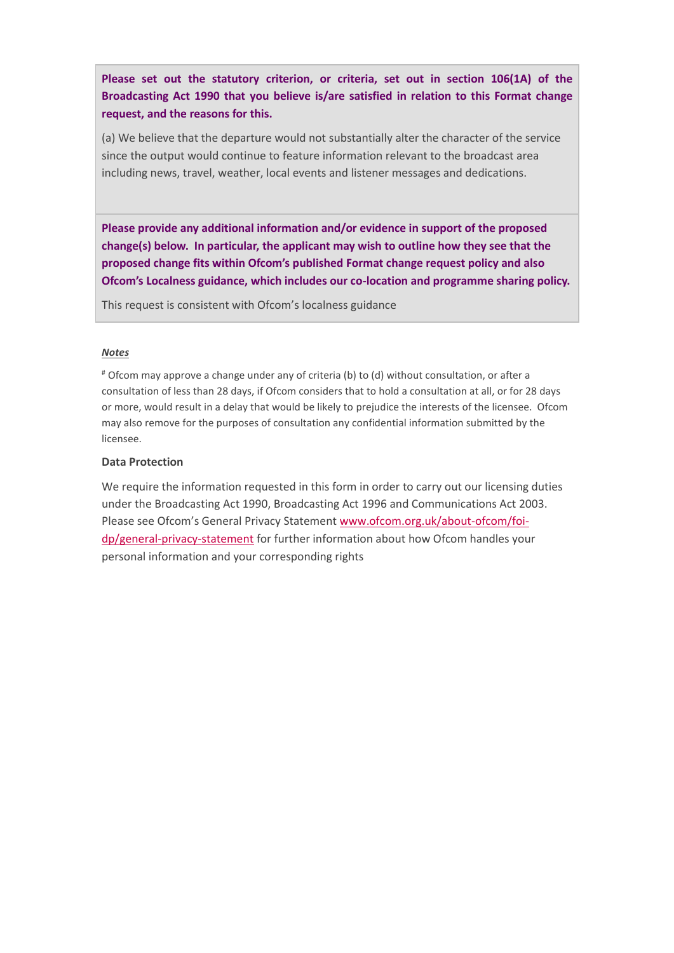**Please set out the statutory criterion, or criteria, set out in section 106(1A) of the Broadcasting Act 1990 that you believe is/are satisfied in relation to this Format change request, and the reasons for this.**

(a) We believe that the departure would not substantially alter the character of the service since the output would continue to feature information relevant to the broadcast area including news, travel, weather, local events and listener messages and dedications.

**Please provide any additional information and/or evidence in support of the proposed change(s) below. In particular, the applicant may wish to outline how they see that the proposed change fits within Ofcom's published Format change request policy and also Ofcom's Localness guidance, which includes our co-location and programme sharing policy.** 

This request is consistent with Ofcom's localness guidance

#### *Notes*

# Ofcom may approve a change under any of criteria (b) to (d) without consultation, or after a consultation of less than 28 days, if Ofcom considers that to hold a consultation at all, or for 28 days or more, would result in a delay that would be likely to prejudice the interests of the licensee. Ofcom may also remove for the purposes of consultation any confidential information submitted by the licensee.

### **Data Protection**

We require the information requested in this form in order to carry out our licensing duties under the Broadcasting Act 1990, Broadcasting Act 1996 and Communications Act 2003. Please see Ofcom's General Privacy Statement [www.ofcom.org.uk/about-ofcom/foi](https://ofcomuk.sharepoint.com/teams/rcbl_rl/ana/Licences/AL263%20Burgess%20Hill_Haywards%20Hill%20FM/Format%20change%202020/www.ofcom.org.uk/about-ofcom/foi-dp/general-privacy-statement)[dp/general-privacy-statement](https://ofcomuk.sharepoint.com/teams/rcbl_rl/ana/Licences/AL263%20Burgess%20Hill_Haywards%20Hill%20FM/Format%20change%202020/www.ofcom.org.uk/about-ofcom/foi-dp/general-privacy-statement) for further information about how Ofcom handles your personal information and your corresponding rights